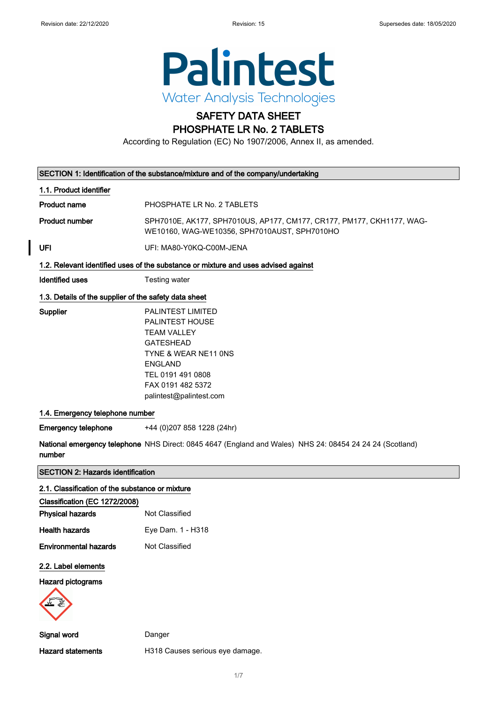

## SAFETY DATA SHEET PHOSPHATE LR No. 2 TABLETS

According to Regulation (EC) No 1907/2006, Annex II, as amended.

|                                                       | SECTION 1: Identification of the substance/mixture and of the company/undertaking                                                                                                             |
|-------------------------------------------------------|-----------------------------------------------------------------------------------------------------------------------------------------------------------------------------------------------|
| 1.1. Product identifier                               |                                                                                                                                                                                               |
| <b>Product name</b>                                   | PHOSPHATE LR No. 2 TABLETS                                                                                                                                                                    |
| <b>Product number</b>                                 | SPH7010E, AK177, SPH7010US, AP177, CM177, CR177, PM177, CKH1177, WAG-<br>WE10160, WAG-WE10356, SPH7010AUST, SPH7010HO                                                                         |
| UFI                                                   | UFI: MA80-Y0KQ-C00M-JENA                                                                                                                                                                      |
|                                                       | 1.2. Relevant identified uses of the substance or mixture and uses advised against                                                                                                            |
| <b>Identified uses</b>                                | Testing water                                                                                                                                                                                 |
| 1.3. Details of the supplier of the safety data sheet |                                                                                                                                                                                               |
| Supplier                                              | PALINTEST LIMITED<br>PALINTEST HOUSE<br><b>TEAM VALLEY</b><br><b>GATESHEAD</b><br>TYNE & WEAR NE11 ONS<br><b>ENGLAND</b><br>TEL 0191 491 0808<br>FAX 0191 482 5372<br>palintest@palintest.com |
| 1.4. Emergency telephone number                       |                                                                                                                                                                                               |
| <b>Emergency telephone</b>                            | +44 (0)207 858 1228 (24hr)                                                                                                                                                                    |
| number                                                | National emergency telephone NHS Direct: 0845 4647 (England and Wales) NHS 24: 08454 24 24 24 (Scotland)                                                                                      |
| <b>SECTION 2: Hazards identification</b>              |                                                                                                                                                                                               |
| 2.1. Classification of the substance or mixture       |                                                                                                                                                                                               |
| Classification (EC 1272/2008)                         |                                                                                                                                                                                               |
| <b>Physical hazards</b>                               | Not Classified                                                                                                                                                                                |
| <b>Health hazards</b>                                 | Eye Dam. 1 - H318                                                                                                                                                                             |
| <b>Environmental hazards</b>                          | Not Classified                                                                                                                                                                                |
| 2.2. Label elements                                   |                                                                                                                                                                                               |
| <b>Hazard pictograms</b>                              |                                                                                                                                                                                               |
| Signal word                                           | Danger                                                                                                                                                                                        |
| <b>Hazard statements</b>                              | H318 Causes serious eye damage.                                                                                                                                                               |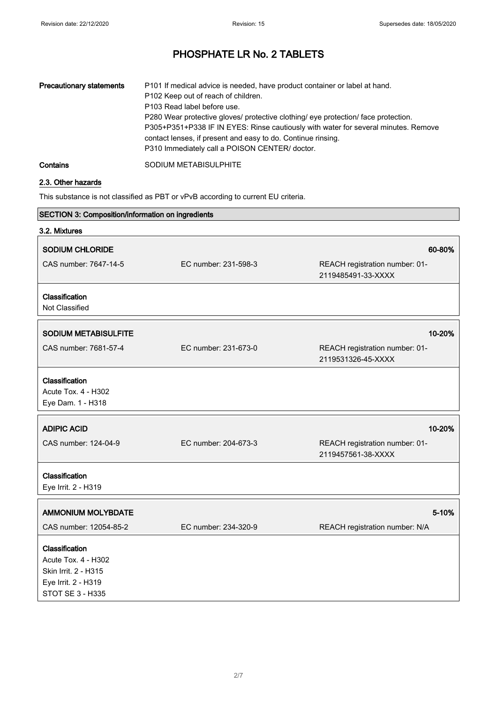| <b>Precautionary statements</b> | P101 If medical advice is needed, have product container or label at hand.<br>P102 Keep out of reach of children.<br>P103 Read label before use.<br>P280 Wear protective gloves/ protective clothing/ eye protection/ face protection.<br>P305+P351+P338 IF IN EYES: Rinse cautiously with water for several minutes. Remove<br>contact lenses, if present and easy to do. Continue rinsing.<br>P310 Immediately call a POISON CENTER/ doctor. |
|---------------------------------|------------------------------------------------------------------------------------------------------------------------------------------------------------------------------------------------------------------------------------------------------------------------------------------------------------------------------------------------------------------------------------------------------------------------------------------------|
| Contains                        | SODIUM METABISULPHITE                                                                                                                                                                                                                                                                                                                                                                                                                          |

## 2.3. Other hazards

This substance is not classified as PBT or vPvB according to current EU criteria.

| SECTION 3: Composition/information on ingredients          |                      |                                                      |
|------------------------------------------------------------|----------------------|------------------------------------------------------|
| 3.2. Mixtures                                              |                      |                                                      |
| SODIUM CHLORIDE                                            |                      | 60-80%                                               |
| CAS number: 7647-14-5                                      | EC number: 231-598-3 | REACH registration number: 01-<br>2119485491-33-XXXX |
| Classification<br>Not Classified                           |                      |                                                      |
| <b>SODIUM METABISULFITE</b>                                |                      | 10-20%                                               |
| CAS number: 7681-57-4                                      | EC number: 231-673-0 | REACH registration number: 01-<br>2119531326-45-XXXX |
| Classification<br>Acute Tox. 4 - H302<br>Eye Dam. 1 - H318 |                      |                                                      |
| <b>ADIPIC ACID</b>                                         |                      | 10-20%                                               |
| CAS number: 124-04-9                                       | EC number: 204-673-3 | REACH registration number: 01-<br>2119457561-38-XXXX |
| Classification<br>Eye Irrit. 2 - H319                      |                      |                                                      |
| <b>AMMONIUM MOLYBDATE</b>                                  |                      | 5-10%                                                |
| CAS number: 12054-85-2                                     | EC number: 234-320-9 | REACH registration number: N/A                       |
| Classification                                             |                      |                                                      |
| Acute Tox. 4 - H302                                        |                      |                                                      |
| Skin Irrit. 2 - H315                                       |                      |                                                      |
| Eye Irrit. 2 - H319                                        |                      |                                                      |
| <b>STOT SE 3 - H335</b>                                    |                      |                                                      |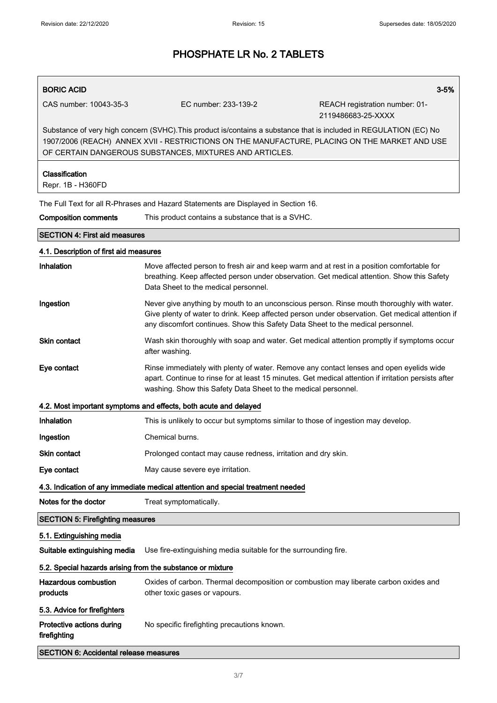# BORIC ACID 3-5% CAS number: 10043-35-3 EC number: 233-139-2 REACH registration number: 01- 2119486683-25-XXXX Substance of very high concern (SVHC).This product is/contains a substance that is included in REGULATION (EC) No 1907/2006 (REACH) ANNEX XVII - RESTRICTIONS ON THE MANUFACTURE, PLACING ON THE MARKET AND USE OF CERTAIN DANGEROUS SUBSTANCES, MIXTURES AND ARTICLES. Classification Repr. 1B - H360FD The Full Text for all R-Phrases and Hazard Statements are Displayed in Section 16. Composition comments This product contains a substance that is a SVHC. SECTION 4: First aid measures 4.1. Description of first aid measures Inhalation Move affected person to fresh air and keep warm and at rest in a position comfortable for breathing. Keep affected person under observation. Get medical attention. Show this Safety Data Sheet to the medical personnel. Ingestion Never give anything by mouth to an unconscious person. Rinse mouth thoroughly with water. Give plenty of water to drink. Keep affected person under observation. Get medical attention if any discomfort continues. Show this Safety Data Sheet to the medical personnel. Skin contact Wash skin thoroughly with soap and water. Get medical attention promptly if symptoms occur after washing. Eye contact **Rinse immediately with plenty of water. Remove any contact lenses and open eyelids wide** apart. Continue to rinse for at least 15 minutes. Get medical attention if irritation persists after washing. Show this Safety Data Sheet to the medical personnel. 4.2. Most important symptoms and effects, both acute and delayed Inhalation This is unlikely to occur but symptoms similar to those of ingestion may develop. Ingestion Chemical burns. Skin contact **Prolonged contact may cause redness**, irritation and dry skin. Eye contact May cause severe eye irritation. 4.3. Indication of any immediate medical attention and special treatment needed Notes for the doctor Treat symptomatically. SECTION 5: Firefighting measures 5.1. Extinguishing media Suitable extinguishing media Use fire-extinguishing media suitable for the surrounding fire. 5.2. Special hazards arising from the substance or mixture Hazardous combustion products Oxides of carbon. Thermal decomposition or combustion may liberate carbon oxides and other toxic gases or vapours. 5.3. Advice for firefighters Protective actions during firefighting No specific firefighting precautions known.

SECTION 6: Accidental release measures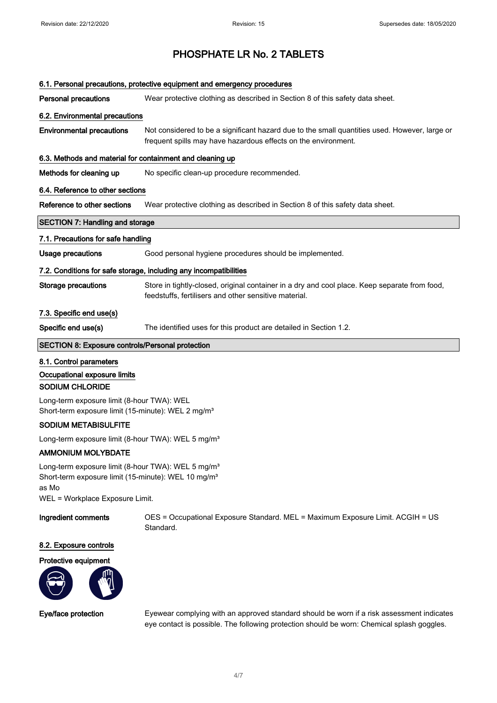| 6.1. Personal precautions, protective equipment and emergency procedures                                                                                                      |                                                                                                                                                                 |
|-------------------------------------------------------------------------------------------------------------------------------------------------------------------------------|-----------------------------------------------------------------------------------------------------------------------------------------------------------------|
| <b>Personal precautions</b>                                                                                                                                                   | Wear protective clothing as described in Section 8 of this safety data sheet.                                                                                   |
| 6.2. Environmental precautions                                                                                                                                                |                                                                                                                                                                 |
| <b>Environmental precautions</b>                                                                                                                                              | Not considered to be a significant hazard due to the small quantities used. However, large or<br>frequent spills may have hazardous effects on the environment. |
| 6.3. Methods and material for containment and cleaning up                                                                                                                     |                                                                                                                                                                 |
| Methods for cleaning up                                                                                                                                                       | No specific clean-up procedure recommended.                                                                                                                     |
| 6.4. Reference to other sections                                                                                                                                              |                                                                                                                                                                 |
| Reference to other sections                                                                                                                                                   | Wear protective clothing as described in Section 8 of this safety data sheet.                                                                                   |
| <b>SECTION 7: Handling and storage</b>                                                                                                                                        |                                                                                                                                                                 |
| 7.1. Precautions for safe handling                                                                                                                                            |                                                                                                                                                                 |
| <b>Usage precautions</b>                                                                                                                                                      | Good personal hygiene procedures should be implemented.                                                                                                         |
| 7.2. Conditions for safe storage, including any incompatibilities                                                                                                             |                                                                                                                                                                 |
| <b>Storage precautions</b>                                                                                                                                                    | Store in tightly-closed, original container in a dry and cool place. Keep separate from food,<br>feedstuffs, fertilisers and other sensitive material.          |
| 7.3. Specific end use(s)                                                                                                                                                      |                                                                                                                                                                 |
| Specific end use(s)                                                                                                                                                           | The identified uses for this product are detailed in Section 1.2.                                                                                               |
| SECTION 8: Exposure controls/Personal protection                                                                                                                              |                                                                                                                                                                 |
| 8.1. Control parameters                                                                                                                                                       |                                                                                                                                                                 |
| Occupational exposure limits                                                                                                                                                  |                                                                                                                                                                 |
| <b>SODIUM CHLORIDE</b>                                                                                                                                                        |                                                                                                                                                                 |
| Long-term exposure limit (8-hour TWA): WEL<br>Short-term exposure limit (15-minute): WEL 2 mg/m <sup>3</sup>                                                                  |                                                                                                                                                                 |
| <b>SODIUM METABISULFITE</b>                                                                                                                                                   |                                                                                                                                                                 |
| Long-term exposure limit (8-hour TWA): WEL 5 mg/m <sup>3</sup>                                                                                                                |                                                                                                                                                                 |
| <b>AMMONIUM MOLYBDATE</b>                                                                                                                                                     |                                                                                                                                                                 |
| Long-term exposure limit (8-hour TWA): WEL 5 mg/m <sup>3</sup><br>Short-term exposure limit (15-minute): WEL 10 mg/m <sup>3</sup><br>as Mo<br>WEL = Workplace Exposure Limit. |                                                                                                                                                                 |

Ingredient comments OES = Occupational Exposure Standard. MEL = Maximum Exposure Limit. ACGIH = US Standard.

## 8.2. Exposure controls

## Protective equipment



Eye/face protection Eyewear complying with an approved standard should be worn if a risk assessment indicates eye contact is possible. The following protection should be worn: Chemical splash goggles.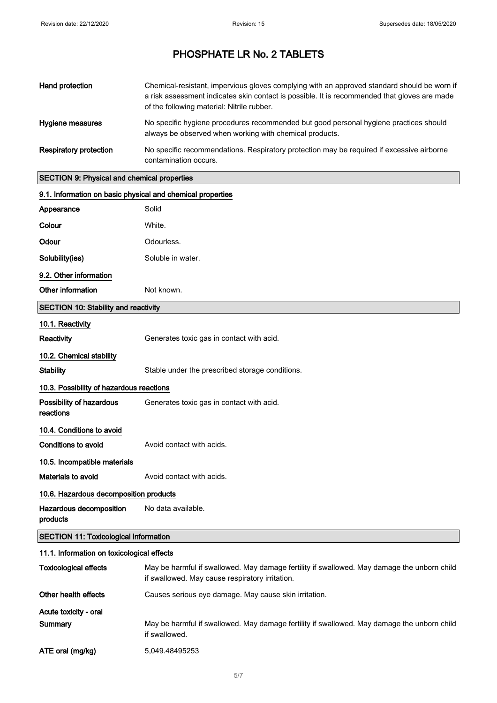| Hand protection               | Chemical-resistant, impervious gloves complying with an approved standard should be worn if<br>a risk assessment indicates skin contact is possible. It is recommended that gloves are made<br>of the following material: Nitrile rubber. |
|-------------------------------|-------------------------------------------------------------------------------------------------------------------------------------------------------------------------------------------------------------------------------------------|
| Hygiene measures              | No specific hygiene procedures recommended but good personal hygiene practices should<br>always be observed when working with chemical products.                                                                                          |
| <b>Respiratory protection</b> | No specific recommendations. Respiratory protection may be required if excessive airborne<br>contamination occurs.                                                                                                                        |

## SECTION 9: Physical and chemical properties

| 9.1. Information on basic physical and chemical properties |                                                 |
|------------------------------------------------------------|-------------------------------------------------|
| Appearance                                                 | Solid                                           |
| Colour                                                     | White.                                          |
| Odour                                                      | Odourless.                                      |
| Solubility(ies)                                            | Soluble in water.                               |
| 9.2. Other information                                     |                                                 |
| Other information                                          | Not known.                                      |
| <b>SECTION 10: Stability and reactivity</b>                |                                                 |
| 10.1. Reactivity                                           |                                                 |
| Reactivity                                                 | Generates toxic gas in contact with acid.       |
| 10.2. Chemical stability                                   |                                                 |
| <b>Stability</b>                                           | Stable under the prescribed storage conditions. |
| 10.3. Possibility of hazardous reactions                   |                                                 |
| Possibility of hazardous<br>reactions                      | Generates toxic gas in contact with acid.       |
| 10.4. Conditions to avoid                                  |                                                 |
| Conditions to avoid                                        | Avoid contact with acids.                       |
| 10.5. Incompatible materials                               |                                                 |
| Materials to avoid                                         | Avoid contact with acids.                       |
| 10.6. Hazardous decomposition products                     |                                                 |
| Hazardous decomposition<br>products                        | No data available.                              |
| <b>SECTION 11: Toxicological information</b>               |                                                 |

## 11.1. Information on toxicological effects

| <b>Toxicological effects</b>     | May be harmful if swallowed. May damage fertility if swallowed. May damage the unborn child<br>if swallowed. May cause respiratory irritation. |
|----------------------------------|------------------------------------------------------------------------------------------------------------------------------------------------|
| Other health effects             | Causes serious eye damage. May cause skin irritation.                                                                                          |
| Acute toxicity - oral<br>Summary | May be harmful if swallowed. May damage fertility if swallowed. May damage the unborn child<br>if swallowed.                                   |
| ATE oral (mg/kg)                 | 5.049.48495253                                                                                                                                 |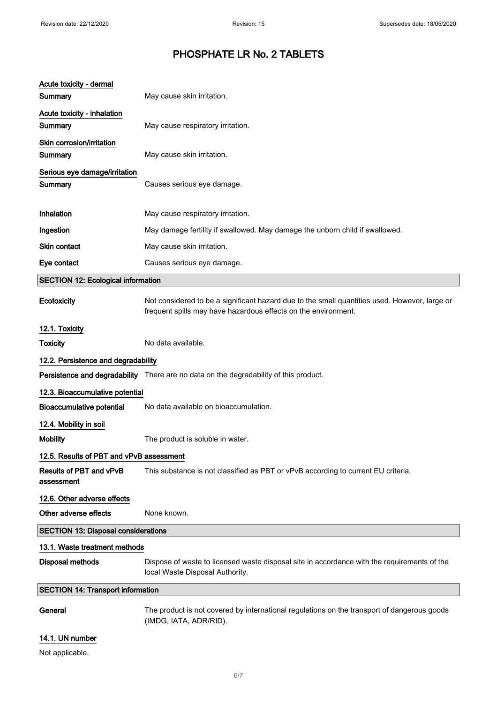| Acute toxicity - dermal                      |                                                                                                                                                                 |
|----------------------------------------------|-----------------------------------------------------------------------------------------------------------------------------------------------------------------|
| Summary                                      | May cause skin irritation.                                                                                                                                      |
| Acute toxicity - inhalation<br>Summary       | May cause respiratory irritation.                                                                                                                               |
| Skin corrosion/irritation<br>Summary         | May cause skin irritation.                                                                                                                                      |
| Serious eye damage/irritation<br>Summary     | Causes serious eye damage.                                                                                                                                      |
| Inhalation                                   | May cause respiratory irritation.                                                                                                                               |
| Ingestion                                    | May damage fertility if swallowed. May damage the unborn child if swallowed.                                                                                    |
| Skin contact                                 | May cause skin irritation.                                                                                                                                      |
| Eye contact                                  | Causes serious eye damage.                                                                                                                                      |
| <b>SECTION 12: Ecological information</b>    |                                                                                                                                                                 |
| Ecotoxicity                                  | Not considered to be a significant hazard due to the small quantities used. However, large or<br>frequent spills may have hazardous effects on the environment. |
| 12.1. Toxicity                               |                                                                                                                                                                 |
| <b>Toxicity</b>                              | No data available.                                                                                                                                              |
| 12.2. Persistence and degradability          |                                                                                                                                                                 |
|                                              | Persistence and degradability There are no data on the degradability of this product.                                                                           |
| 12.3. Bioaccumulative potential              |                                                                                                                                                                 |
| <b>Bioaccumulative potential</b>             | No data available on bioaccumulation.                                                                                                                           |
| 12.4. Mobility in soil                       |                                                                                                                                                                 |
| <b>Mobility</b>                              | The product is soluble in water.                                                                                                                                |
| 12.5. Results of PBT and vPvB assessment     |                                                                                                                                                                 |
| <b>Results of PBT and vPvB</b><br>assessment | This substance is not classified as PBT or vPvB according to current EU criteria.                                                                               |
| 12.6. Other adverse effects                  |                                                                                                                                                                 |
| Other adverse effects                        | None known.                                                                                                                                                     |
| <b>SECTION 13: Disposal considerations</b>   |                                                                                                                                                                 |
| 13.1. Waste treatment methods                |                                                                                                                                                                 |
| <b>Disposal methods</b>                      | Dispose of waste to licensed waste disposal site in accordance with the requirements of the<br>local Waste Disposal Authority.                                  |
| <b>SECTION 14: Transport information</b>     |                                                                                                                                                                 |
| General                                      | The product is not covered by international regulations on the transport of dangerous goods<br>(IMDG, IATA, ADR/RID).                                           |
| 14.1. UN number                              |                                                                                                                                                                 |

Not applicable.